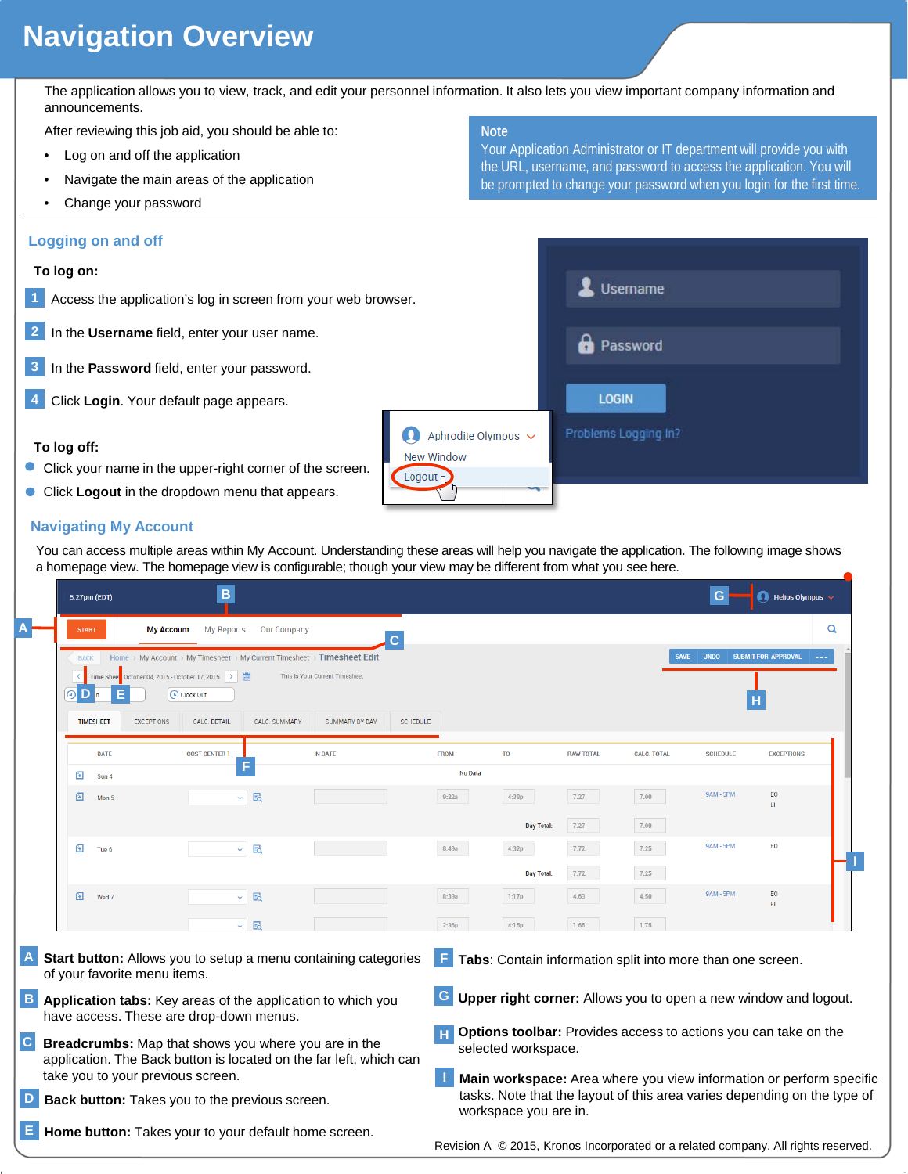# **Navigation Overview**

The application allows you to view, track, and edit your personnel information. It also lets you view important company information and announcements.

After reviewing this job aid, you should be able to:

- Log on and off the application
- Navigate the main areas of the application
- Change your password

#### **Logging on and off**

#### **To log on:**

- **1** Access the application's log in screen from your web brow
- **2** In the **Username** field, enter your user name.
- **3** In the **Password** field, enter your password.
- **4** Click **Login**. Your default page appears.

#### **To log off:**

- Click your name in the upper-right corner of the screen.
- **Click Logout** in the dropdown menu that appears.

### **Navigating My Account**

You can access multiple areas within My Account. Understanding these areas will help you navigate the application. The following image shows a homepage view. The homepage view is configurable; though your view may be different from what you see here.

| 5:27pm (EDT)                                                                                                               | B                                                                                                               |                                                                       |                 |                                                                                                                                                                          |                  |                    | G                | <b>A</b> Helios Olympus $\sim$                                                    |  |
|----------------------------------------------------------------------------------------------------------------------------|-----------------------------------------------------------------------------------------------------------------|-----------------------------------------------------------------------|-----------------|--------------------------------------------------------------------------------------------------------------------------------------------------------------------------|------------------|--------------------|------------------|-----------------------------------------------------------------------------------|--|
| <b>START</b>                                                                                                               | <b>My Reports</b><br><b>Our Company</b><br><b>My Account</b>                                                    |                                                                       |                 |                                                                                                                                                                          |                  |                    |                  | Q                                                                                 |  |
| <b>BACK</b><br>Time Sheet October 04, 2015 - October 17, 2015<br>ര                                                         | Home > My Account > My Timesheet > My Current Timesheet > Timesheet Edit<br><b>CD</b> Clock Out                 | This Is Your Current Timesheet                                        |                 |                                                                                                                                                                          |                  | <b>SAVE</b>        | <b>UNDO</b>      | <b>SUBMIT FOR APPROVAL</b>                                                        |  |
| <b>TIMESHEET</b><br><b>EXCEPTIONS</b>                                                                                      | CALC, DETAIL<br>CALC. SUMMARY                                                                                   | <b>SUMMARY BY DAY</b>                                                 | <b>SCHEDULE</b> |                                                                                                                                                                          |                  |                    |                  |                                                                                   |  |
| <b>DATE</b>                                                                                                                | <b>COST CENTER</b>                                                                                              | <b>IN DATE</b>                                                        | <b>FROM</b>     | T <sub>0</sub>                                                                                                                                                           | <b>RAW TOTAL</b> | <b>CALC. TOTAL</b> | <b>SCHEDULE</b>  | <b>EXCEPTIONS</b>                                                                 |  |
| 国<br>Sun 4                                                                                                                 |                                                                                                                 |                                                                       | No Data         |                                                                                                                                                                          |                  |                    |                  |                                                                                   |  |
| 囼<br>Mon 5                                                                                                                 | $~\cdot~$ E                                                                                                     |                                                                       | 9:22a           | 4:38p                                                                                                                                                                    | 7.27             | 7.00               | <b>9AM - 5PM</b> | EO<br>LI.                                                                         |  |
|                                                                                                                            |                                                                                                                 |                                                                       |                 | <b>Day Total:</b>                                                                                                                                                        | 7.27             | 7.00               |                  |                                                                                   |  |
| ⊕<br>Tue 6                                                                                                                 | $\sim$ 6                                                                                                        |                                                                       | 8:49a           | 4:32p                                                                                                                                                                    | 7.72             | 7.25               | <b>9AM - 5PM</b> | EO                                                                                |  |
|                                                                                                                            |                                                                                                                 |                                                                       |                 | <b>Day Total:</b>                                                                                                                                                        | 7.72             | 7.25               |                  |                                                                                   |  |
| 囼<br>Wed 7                                                                                                                 | 囷<br>$\sim$                                                                                                     |                                                                       | 8:39a           | 1:17p                                                                                                                                                                    | 4.63             | 4.50               | <b>9AM - 5PM</b> | EO<br>$\mathsf{E}\mathsf{I}$                                                      |  |
|                                                                                                                            | 囷<br>$\sim$ 1                                                                                                   |                                                                       | 2:36p           | 4:15p                                                                                                                                                                    | 1.65             | 1.75               |                  |                                                                                   |  |
| of your favorite menu items.                                                                                               |                                                                                                                 | <b>Start button:</b> Allows you to setup a menu containing categories | F.              | Tabs: Contain information split into more than one screen.                                                                                                               |                  |                    |                  |                                                                                   |  |
|                                                                                                                            | <b>B</b> Application tabs: Key areas of the application to which you<br>have access. These are drop-down menus. |                                                                       | G               |                                                                                                                                                                          |                  |                    |                  | Upper right corner: Allows you to open a new window and logout.                   |  |
| Breadcrumbs: Map that shows you where you are in the<br>application. The Back button is located on the far left, which can |                                                                                                                 |                                                                       |                 | <b>Options toolbar:</b> Provides access to actions you can take on the<br>selected workspace.                                                                            |                  |                    |                  |                                                                                   |  |
| take you to your previous screen.                                                                                          |                                                                                                                 |                                                                       |                 |                                                                                                                                                                          |                  |                    |                  |                                                                                   |  |
| Back button: Takes you to the previous screen.                                                                             |                                                                                                                 |                                                                       |                 | Main workspace: Area where you view information or perform specific<br>tasks. Note that the layout of this area varies depending on the type of<br>workspace you are in. |                  |                    |                  |                                                                                   |  |
|                                                                                                                            | Home button: Takes your to your default home screen.                                                            |                                                                       |                 |                                                                                                                                                                          |                  |                    |                  | Revision A © 2015, Kronos Incorporated or a related company. All rights reserved. |  |

**Note**

Your Application Administrator or IT department will provide you with the URL, username, and password to access the application. You will be prompted to change your password when you login for the first time.

| wser.                                    | Username             |
|------------------------------------------|----------------------|
|                                          | Password             |
|                                          | <b>LOGIN</b>         |
| Aphrodite Olympus v<br><b>New Window</b> | Problems Logging In? |
| Logout <sub>D</sub>                      |                      |